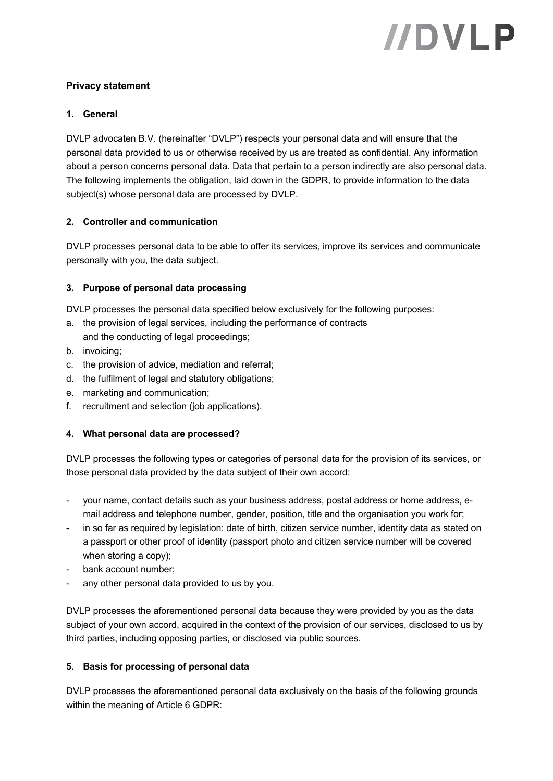# //DVLP

# **Privacy statement**

#### **1. General**

DVLP advocaten B.V. (hereinafter "DVLP") respects your personal data and will ensure that the personal data provided to us or otherwise received by us are treated as confidential. Any information about a person concerns personal data. Data that pertain to a person indirectly are also personal data. The following implements the obligation, laid down in the GDPR, to provide information to the data subject(s) whose personal data are processed by DVLP.

#### **2. Controller and communication**

DVLP processes personal data to be able to offer its services, improve its services and communicate personally with you, the data subject.

#### **3. Purpose of personal data processing**

DVLP processes the personal data specified below exclusively for the following purposes:

- a. the provision of legal services, including the performance of contracts and the conducting of legal proceedings;
- b. invoicing;
- c. the provision of advice, mediation and referral;
- d. the fulfilment of legal and statutory obligations;
- e. marketing and communication;
- f. recruitment and selection (job applications).

#### **4. What personal data are processed?**

DVLP processes the following types or categories of personal data for the provision of its services, or those personal data provided by the data subject of their own accord:

- your name, contact details such as your business address, postal address or home address, email address and telephone number, gender, position, title and the organisation you work for;
- in so far as required by legislation: date of birth, citizen service number, identity data as stated on a passport or other proof of identity (passport photo and citizen service number will be covered when storing a copy);
- bank account number;
- any other personal data provided to us by you.

DVLP processes the aforementioned personal data because they were provided by you as the data subject of your own accord, acquired in the context of the provision of our services, disclosed to us by third parties, including opposing parties, or disclosed via public sources.

#### **5. Basis for processing of personal data**

DVLP processes the aforementioned personal data exclusively on the basis of the following grounds within the meaning of Article 6 GDPR: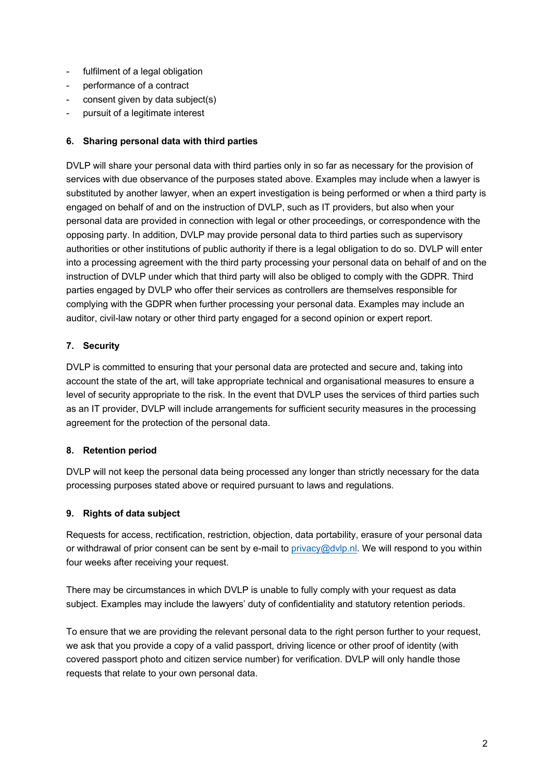- fulfilment of a legal obligation
- performance of a contract
- consent given by data subject(s)
- pursuit of a legitimate interest

#### **6. Sharing personal data with third parties**

DVLP will share your personal data with third parties only in so far as necessary for the provision of services with due observance of the purposes stated above. Examples may include when a lawyer is substituted by another lawyer, when an expert investigation is being performed or when a third party is engaged on behalf of and on the instruction of DVLP, such as IT providers, but also when your personal data are provided in connection with legal or other proceedings, or correspondence with the opposing party. In addition, DVLP may provide personal data to third parties such as supervisory authorities or other institutions of public authority if there is a legal obligation to do so. DVLP will enter into a processing agreement with the third party processing your personal data on behalf of and on the instruction of DVLP under which that third party will also be obliged to comply with the GDPR. Third parties engaged by DVLP who offer their services as controllers are themselves responsible for complying with the GDPR when further processing your personal data. Examples may include an auditor, civil-law notary or other third party engaged for a second opinion or expert report.

# **7. Security**

DVLP is committed to ensuring that your personal data are protected and secure and, taking into account the state of the art, will take appropriate technical and organisational measures to ensure a level of security appropriate to the risk. In the event that DVLP uses the services of third parties such as an IT provider, DVLP will include arrangements for sufficient security measures in the processing agreement for the protection of the personal data.

#### **8. Retention period**

DVLP will not keep the personal data being processed any longer than strictly necessary for the data processing purposes stated above or required pursuant to laws and regulations.

#### **9. Rights of data subject**

Requests for access, rectification, restriction, objection, data portability, erasure of your personal data or withdrawal of prior consent can be sent by e-mail to privacy@dvlp.nl. We will respond to you within four weeks after receiving your request.

There may be circumstances in which DVLP is unable to fully comply with your request as data subject. Examples may include the lawyers' duty of confidentiality and statutory retention periods.

To ensure that we are providing the relevant personal data to the right person further to your request, we ask that you provide a copy of a valid passport, driving licence or other proof of identity (with covered passport photo and citizen service number) for verification. DVLP will only handle those requests that relate to your own personal data.